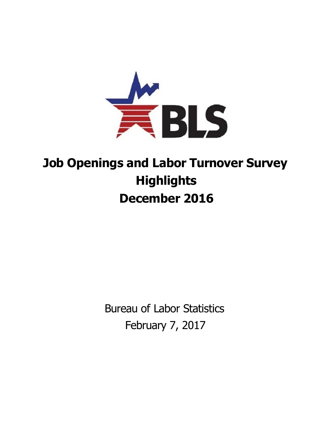

## **Job Openings and Labor Turnover Survey Highlights December 2016**

Bureau of Labor Statistics February 7, 2017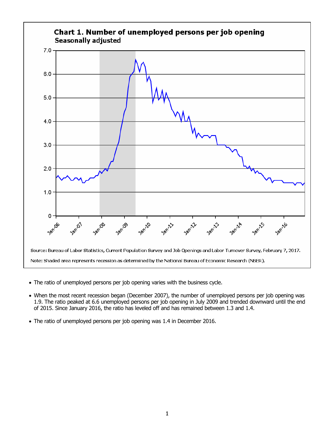

- The ratio of unemployed persons per job opening varies with the business cycle.
- When the most recent recession began (December 2007), the number of unemployed persons per job opening was 1.9. The ratio peaked at 6.6 unemployed persons per job opening in July 2009 and trended downward until the end of 2015. Since January 2016, the ratio has leveled off and has remained between 1.3 and 1.4.
- The ratio of unemployed persons per job opening was 1.4 in December 2016.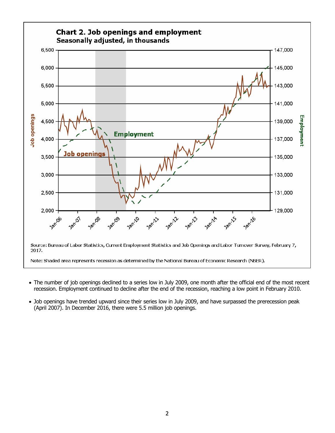

- The number of job openings declined to a series low in July 2009, one month after the official end of the most recent recession. Employment continued to decline after the end of the recession, reaching a low point in February 2010.
- Job openings have trended upward since their series low in July 2009, and have surpassed the prerecession peak (April 2007). In December 2016, there were 5.5 million job openings.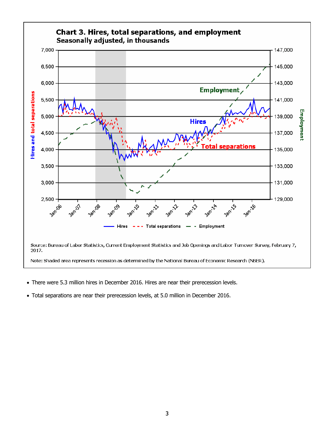

- There were 5.3 million hires in December 2016. Hires are near their prerecession levels.
- Total separations are near their prerecession levels, at 5.0 million in December 2016.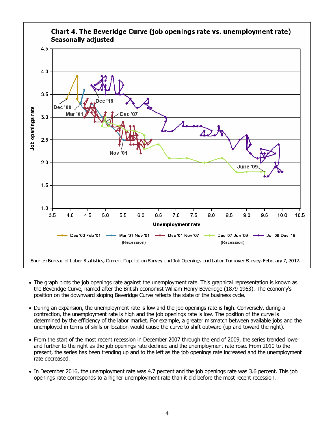

- The graph plots the job openings rate against the unemployment rate. This graphical representation is known as the Beveridge Curve, named after the British economist William Henry Beveridge (1879-1963). The economy's position on the downward sloping Beveridge Curve reflects the state of the business cycle.
- During an expansion, the unemployment rate is low and the job openings rate is high. Conversely, during a contraction, the unemployment rate is high and the job openings rate is low. The position of the curve is determined by the efficiency of the labor market. For example, a greater mismatch between available jobs and the unemployed in terms of skills or location would cause the curve to shift outward (up and toward the right).
- From the start of the most recent recession in December 2007 through the end of 2009, the series trended lower and further to the right as the job openings rate declined and the unemployment rate rose. From 2010 to the present, the series has been trending up and to the left as the job openings rate increased and the unemployment rate decreased.
- In December 2016, the unemployment rate was 4.7 percent and the job openings rate was 3.6 percent. This job openings rate corresponds to a higher unemployment rate than it did before the most recent recession.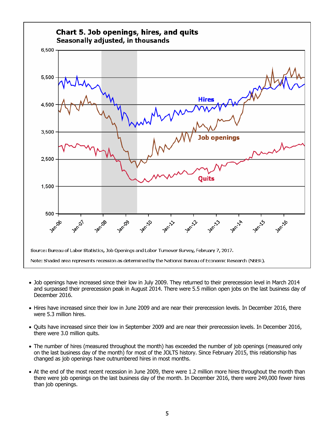

- Job openings have increased since their low in July 2009. They returned to their prerecession level in March 2014 and surpassed their prerecession peak in August 2014. There were 5.5 million open jobs on the last business day of December 2016.
- Hires have increased since their low in June 2009 and are near their prerecession levels. In December 2016, there were 5.3 million hires.
- Quits have increased since their low in September 2009 and are near their prerecession levels. In December 2016, there were 3.0 million quits.
- The number of hires (measured throughout the month) has exceeded the number of job openings (measured only on the last business day of the month) for most of the JOLTS history. Since February 2015, this relationship has changed as job openings have outnumbered hires in most months.
- At the end of the most recent recession in June 2009, there were 1.2 million more hires throughout the month than there were job openings on the last business day of the month. In December 2016, there were 249,000 fewer hires than job openings.